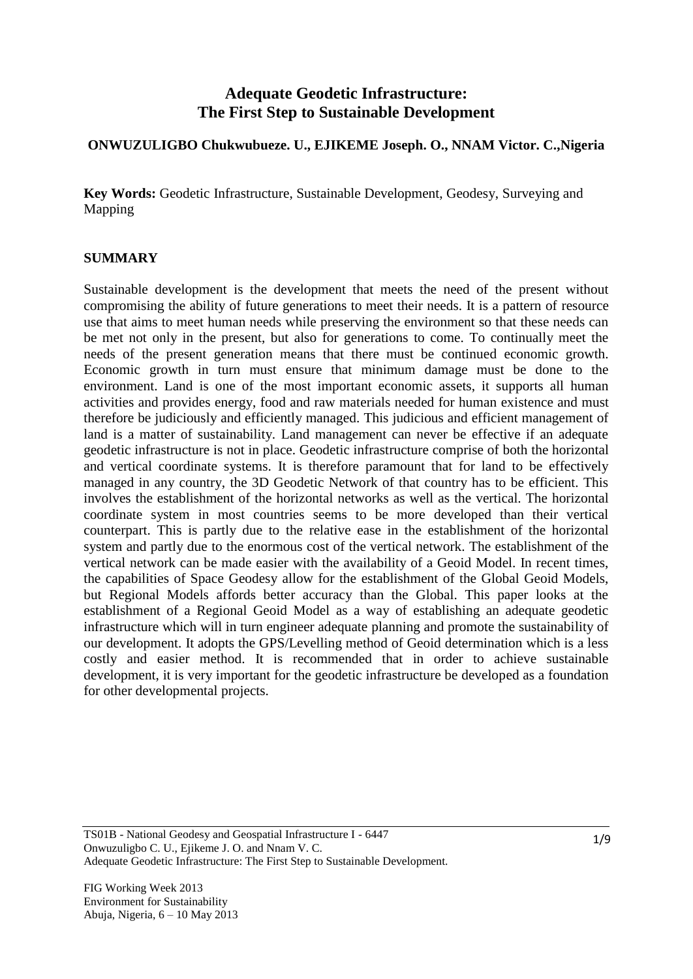# **Adequate Geodetic Infrastructure: The First Step to Sustainable Development**

## **ONWUZULIGBO Chukwubueze. U., EJIKEME Joseph. O., NNAM Victor. C.,Nigeria**

**Key Words:** Geodetic Infrastructure, Sustainable Development, Geodesy, Surveying and Mapping

### **SUMMARY**

Sustainable development is the development that meets the need of the present without compromising the ability of future generations to meet their needs. It is a pattern of resource use that aims to meet human needs while preserving the environment so that these needs can be met not only in the present, but also for generations to come. To continually meet the needs of the present generation means that there must be continued economic growth. Economic growth in turn must ensure that minimum damage must be done to the environment. Land is one of the most important economic assets, it supports all human activities and provides energy, food and raw materials needed for human existence and must therefore be judiciously and efficiently managed. This judicious and efficient management of land is a matter of sustainability. Land management can never be effective if an adequate geodetic infrastructure is not in place. Geodetic infrastructure comprise of both the horizontal and vertical coordinate systems. It is therefore paramount that for land to be effectively managed in any country, the 3D Geodetic Network of that country has to be efficient. This involves the establishment of the horizontal networks as well as the vertical. The horizontal coordinate system in most countries seems to be more developed than their vertical counterpart. This is partly due to the relative ease in the establishment of the horizontal system and partly due to the enormous cost of the vertical network. The establishment of the vertical network can be made easier with the availability of a Geoid Model. In recent times, the capabilities of Space Geodesy allow for the establishment of the Global Geoid Models, but Regional Models affords better accuracy than the Global. This paper looks at the establishment of a Regional Geoid Model as a way of establishing an adequate geodetic infrastructure which will in turn engineer adequate planning and promote the sustainability of our development. It adopts the GPS/Levelling method of Geoid determination which is a less costly and easier method. It is recommended that in order to achieve sustainable development, it is very important for the geodetic infrastructure be developed as a foundation for other developmental projects.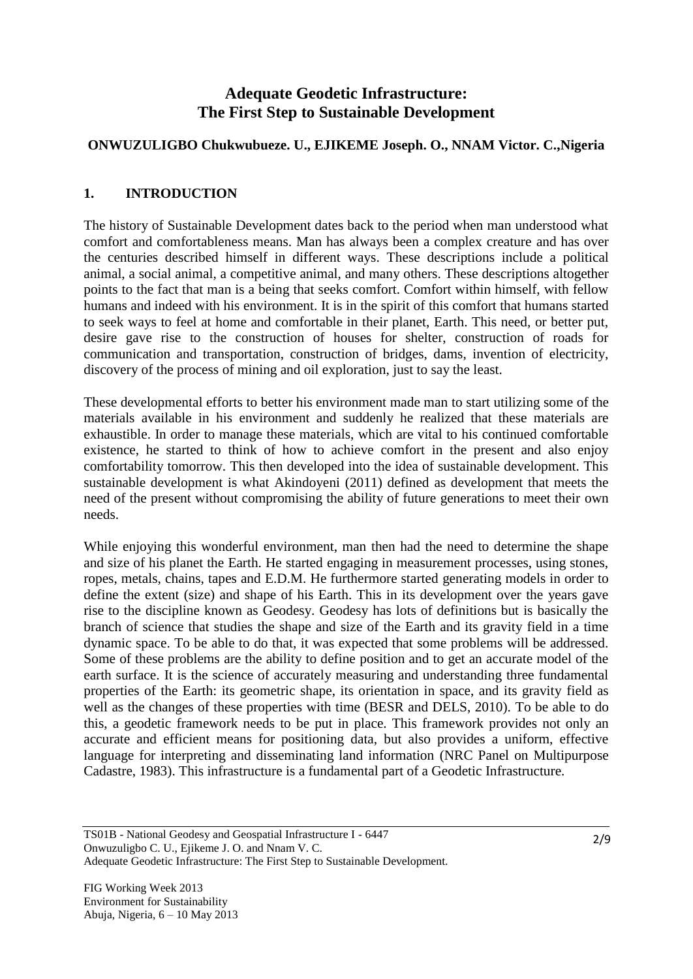# **Adequate Geodetic Infrastructure: The First Step to Sustainable Development**

## **ONWUZULIGBO Chukwubueze. U., EJIKEME Joseph. O., NNAM Victor. C.,Nigeria**

## **1. INTRODUCTION**

The history of Sustainable Development dates back to the period when man understood what comfort and comfortableness means. Man has always been a complex creature and has over the centuries described himself in different ways. These descriptions include a political animal, a social animal, a competitive animal, and many others. These descriptions altogether points to the fact that man is a being that seeks comfort. Comfort within himself, with fellow humans and indeed with his environment. It is in the spirit of this comfort that humans started to seek ways to feel at home and comfortable in their planet, Earth. This need, or better put, desire gave rise to the construction of houses for shelter, construction of roads for communication and transportation, construction of bridges, dams, invention of electricity, discovery of the process of mining and oil exploration, just to say the least.

These developmental efforts to better his environment made man to start utilizing some of the materials available in his environment and suddenly he realized that these materials are exhaustible. In order to manage these materials, which are vital to his continued comfortable existence, he started to think of how to achieve comfort in the present and also enjoy comfortability tomorrow. This then developed into the idea of sustainable development. This sustainable development is what Akindoyeni (2011) defined as development that meets the need of the present without compromising the ability of future generations to meet their own needs.

While enjoying this wonderful environment, man then had the need to determine the shape and size of his planet the Earth. He started engaging in measurement processes, using stones, ropes, metals, chains, tapes and E.D.M. He furthermore started generating models in order to define the extent (size) and shape of his Earth. This in its development over the years gave rise to the discipline known as Geodesy. Geodesy has lots of definitions but is basically the branch of science that studies the shape and size of the Earth and its gravity field in a time dynamic space. To be able to do that, it was expected that some problems will be addressed. Some of these problems are the ability to define position and to get an accurate model of the earth surface. It is the science of accurately measuring and understanding three fundamental properties of the Earth: its geometric shape, its orientation in space, and its gravity field as well as the changes of these properties with time (BESR and DELS, 2010). To be able to do this, a geodetic framework needs to be put in place. This framework provides not only an accurate and efficient means for positioning data, but also provides a uniform, effective language for interpreting and disseminating land information (NRC Panel on Multipurpose Cadastre, 1983). This infrastructure is a fundamental part of a Geodetic Infrastructure.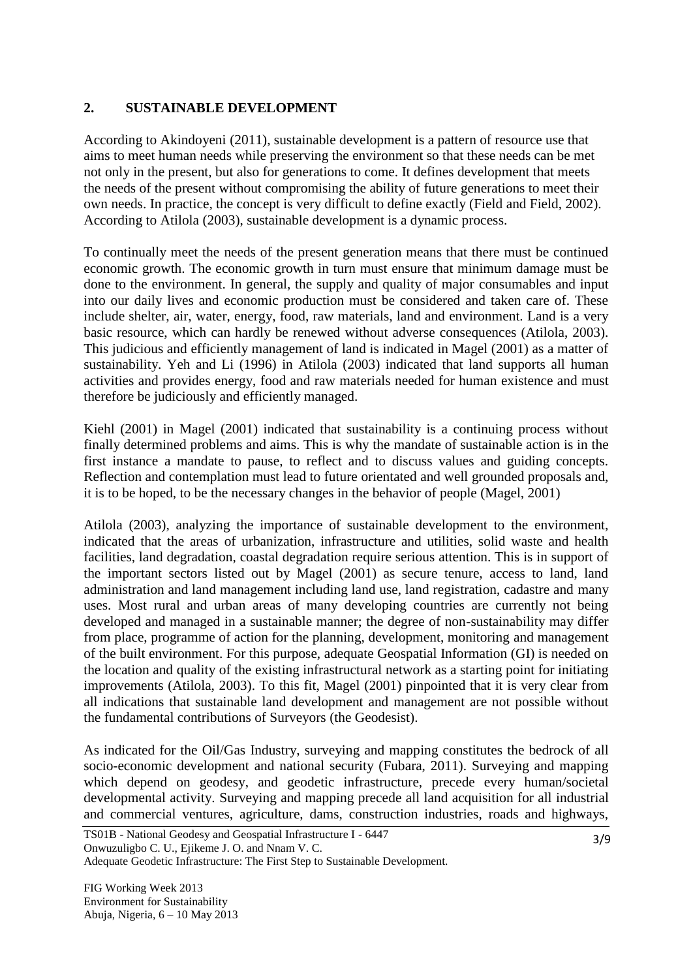### **2. SUSTAINABLE DEVELOPMENT**

According to Akindoyeni (2011), sustainable development is a pattern of resource use that aims to meet human needs while preserving the environment so that these needs can be met not only in the present, but also for generations to come. It defines development that meets the needs of the present without compromising the ability of future generations to meet their own needs. In practice, the concept is very difficult to define exactly (Field and Field, 2002). According to Atilola (2003), sustainable development is a dynamic process.

To continually meet the needs of the present generation means that there must be continued economic growth. The economic growth in turn must ensure that minimum damage must be done to the environment. In general, the supply and quality of major consumables and input into our daily lives and economic production must be considered and taken care of. These include shelter, air, water, energy, food, raw materials, land and environment. Land is a very basic resource, which can hardly be renewed without adverse consequences (Atilola, 2003). This judicious and efficiently management of land is indicated in Magel (2001) as a matter of sustainability. Yeh and Li (1996) in Atilola (2003) indicated that land supports all human activities and provides energy, food and raw materials needed for human existence and must therefore be judiciously and efficiently managed.

Kiehl (2001) in Magel (2001) indicated that sustainability is a continuing process without finally determined problems and aims. This is why the mandate of sustainable action is in the first instance a mandate to pause, to reflect and to discuss values and guiding concepts. Reflection and contemplation must lead to future orientated and well grounded proposals and, it is to be hoped, to be the necessary changes in the behavior of people (Magel, 2001)

Atilola (2003), analyzing the importance of sustainable development to the environment, indicated that the areas of urbanization, infrastructure and utilities, solid waste and health facilities, land degradation, coastal degradation require serious attention. This is in support of the important sectors listed out by Magel (2001) as secure tenure, access to land, land administration and land management including land use, land registration, cadastre and many uses. Most rural and urban areas of many developing countries are currently not being developed and managed in a sustainable manner; the degree of non-sustainability may differ from place, programme of action for the planning, development, monitoring and management of the built environment. For this purpose, adequate Geospatial Information (GI) is needed on the location and quality of the existing infrastructural network as a starting point for initiating improvements (Atilola, 2003). To this fit, Magel (2001) pinpointed that it is very clear from all indications that sustainable land development and management are not possible without the fundamental contributions of Surveyors (the Geodesist).

As indicated for the Oil/Gas Industry, surveying and mapping constitutes the bedrock of all socio-economic development and national security (Fubara, 2011). Surveying and mapping which depend on geodesy, and geodetic infrastructure, precede every human/societal developmental activity. Surveying and mapping precede all land acquisition for all industrial and commercial ventures, agriculture, dams, construction industries, roads and highways,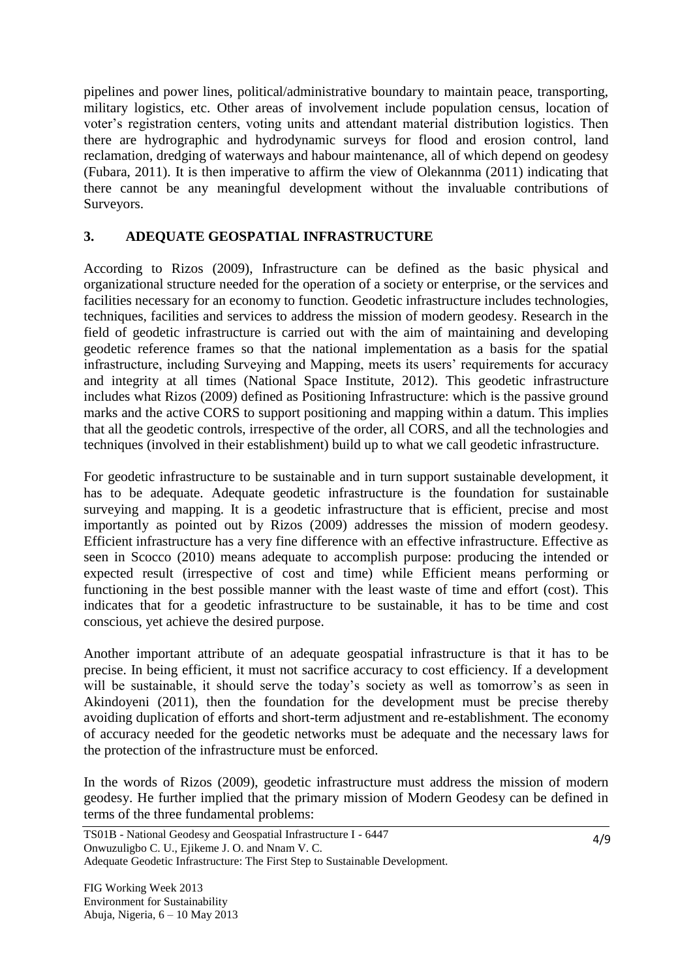pipelines and power lines, political/administrative boundary to maintain peace, transporting, military logistics, etc. Other areas of involvement include population census, location of voter"s registration centers, voting units and attendant material distribution logistics. Then there are hydrographic and hydrodynamic surveys for flood and erosion control, land reclamation, dredging of waterways and habour maintenance, all of which depend on geodesy (Fubara, 2011). It is then imperative to affirm the view of Olekannma (2011) indicating that there cannot be any meaningful development without the invaluable contributions of Surveyors.

## **3. ADEQUATE GEOSPATIAL INFRASTRUCTURE**

According to Rizos (2009), Infrastructure can be defined as the basic physical and organizational structure needed for the operation of a society or enterprise, or the services and facilities necessary for an economy to function. Geodetic infrastructure includes technologies, techniques, facilities and services to address the mission of modern geodesy. Research in the field of geodetic infrastructure is carried out with the aim of maintaining and developing geodetic reference frames so that the national implementation as a basis for the spatial infrastructure, including Surveying and Mapping, meets its users' requirements for accuracy and integrity at all times (National Space Institute, 2012). This geodetic infrastructure includes what Rizos (2009) defined as Positioning Infrastructure: which is the passive ground marks and the active CORS to support positioning and mapping within a datum. This implies that all the geodetic controls, irrespective of the order, all CORS, and all the technologies and techniques (involved in their establishment) build up to what we call geodetic infrastructure.

For geodetic infrastructure to be sustainable and in turn support sustainable development, it has to be adequate. Adequate geodetic infrastructure is the foundation for sustainable surveying and mapping. It is a geodetic infrastructure that is efficient, precise and most importantly as pointed out by Rizos (2009) addresses the mission of modern geodesy. Efficient infrastructure has a very fine difference with an effective infrastructure. Effective as seen in Scocco (2010) means adequate to accomplish purpose: producing the intended or expected result (irrespective of cost and time) while Efficient means performing or functioning in the best possible manner with the least waste of time and effort (cost). This indicates that for a geodetic infrastructure to be sustainable, it has to be time and cost conscious, yet achieve the desired purpose.

Another important attribute of an adequate geospatial infrastructure is that it has to be precise. In being efficient, it must not sacrifice accuracy to cost efficiency. If a development will be sustainable, it should serve the today's society as well as tomorrow's as seen in Akindoyeni (2011), then the foundation for the development must be precise thereby avoiding duplication of efforts and short-term adjustment and re-establishment. The economy of accuracy needed for the geodetic networks must be adequate and the necessary laws for the protection of the infrastructure must be enforced.

In the words of Rizos (2009), geodetic infrastructure must address the mission of modern geodesy. He further implied that the primary mission of Modern Geodesy can be defined in terms of the three fundamental problems: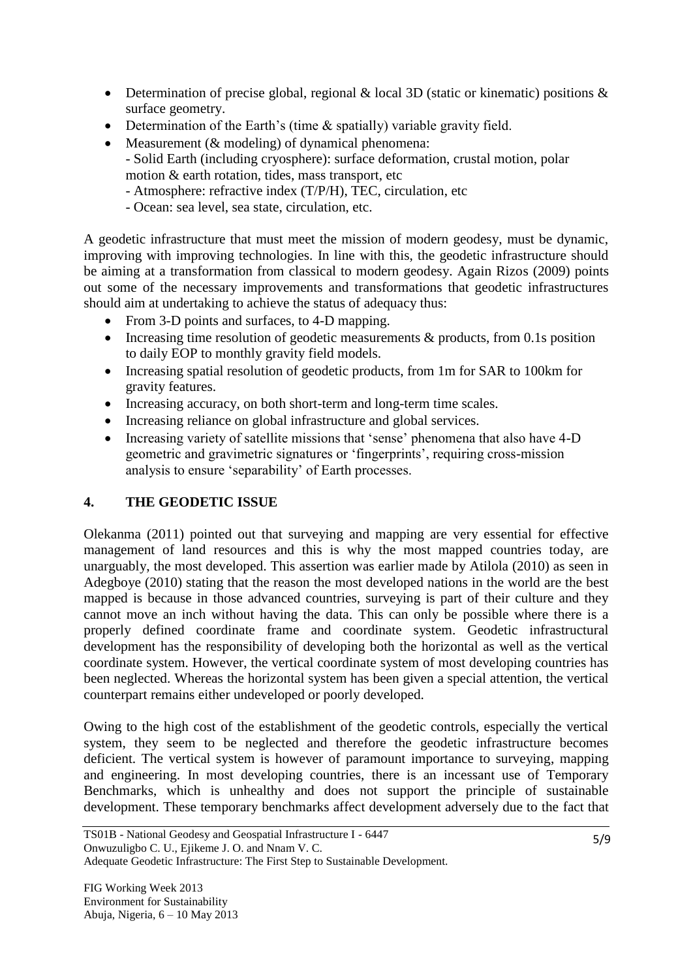- Determination of precise global, regional & local 3D (static or kinematic) positions & surface geometry.
- Determination of the Earth's (time & spatially) variable gravity field.
- Measurement (& modeling) of dynamical phenomena:
	- Solid Earth (including cryosphere): surface deformation, crustal motion, polar motion & earth rotation, tides, mass transport, etc
	- Atmosphere: refractive index (T/P/H), TEC, circulation, etc
	- Ocean: sea level, sea state, circulation, etc.

A geodetic infrastructure that must meet the mission of modern geodesy, must be dynamic, improving with improving technologies. In line with this, the geodetic infrastructure should be aiming at a transformation from classical to modern geodesy. Again Rizos (2009) points out some of the necessary improvements and transformations that geodetic infrastructures should aim at undertaking to achieve the status of adequacy thus:

- From 3-D points and surfaces, to 4-D mapping.
- Increasing time resolution of geodetic measurements  $\&$  products, from 0.1s position to daily EOP to monthly gravity field models.
- Increasing spatial resolution of geodetic products, from 1m for SAR to 100km for gravity features.
- Increasing accuracy, on both short-term and long-term time scales.
- Increasing reliance on global infrastructure and global services.
- Increasing variety of satellite missions that 'sense' phenomena that also have 4-D geometric and gravimetric signatures or "fingerprints", requiring cross-mission analysis to ensure "separability" of Earth processes.

## **4. THE GEODETIC ISSUE**

Olekanma (2011) pointed out that surveying and mapping are very essential for effective management of land resources and this is why the most mapped countries today, are unarguably, the most developed. This assertion was earlier made by Atilola (2010) as seen in Adegboye (2010) stating that the reason the most developed nations in the world are the best mapped is because in those advanced countries, surveying is part of their culture and they cannot move an inch without having the data. This can only be possible where there is a properly defined coordinate frame and coordinate system. Geodetic infrastructural development has the responsibility of developing both the horizontal as well as the vertical coordinate system. However, the vertical coordinate system of most developing countries has been neglected. Whereas the horizontal system has been given a special attention, the vertical counterpart remains either undeveloped or poorly developed.

Owing to the high cost of the establishment of the geodetic controls, especially the vertical system, they seem to be neglected and therefore the geodetic infrastructure becomes deficient. The vertical system is however of paramount importance to surveying, mapping and engineering. In most developing countries, there is an incessant use of Temporary Benchmarks, which is unhealthy and does not support the principle of sustainable development. These temporary benchmarks affect development adversely due to the fact that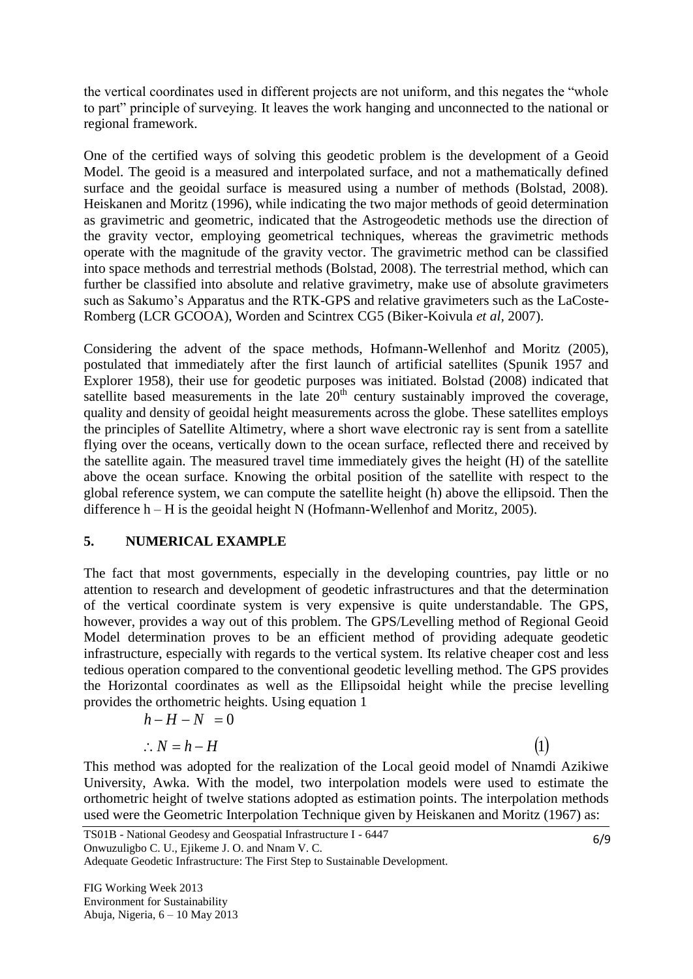the vertical coordinates used in different projects are not uniform, and this negates the "whole to part" principle of surveying. It leaves the work hanging and unconnected to the national or regional framework.

One of the certified ways of solving this geodetic problem is the development of a Geoid Model. The geoid is a measured and interpolated surface, and not a mathematically defined surface and the geoidal surface is measured using a number of methods (Bolstad, 2008). Heiskanen and Moritz (1996), while indicating the two major methods of geoid determination as gravimetric and geometric, indicated that the Astrogeodetic methods use the direction of the gravity vector, employing geometrical techniques, whereas the gravimetric methods operate with the magnitude of the gravity vector. The gravimetric method can be classified into space methods and terrestrial methods (Bolstad, 2008). The terrestrial method, which can further be classified into absolute and relative gravimetry, make use of absolute gravimeters such as Sakumo's Apparatus and the RTK-GPS and relative gravimeters such as the LaCoste-Romberg (LCR GCOOA), Worden and Scintrex CG5 (Biker-Koivula *et al,* 2007).

Considering the advent of the space methods, Hofmann-Wellenhof and Moritz (2005), postulated that immediately after the first launch of artificial satellites (Spunik 1957 and Explorer 1958), their use for geodetic purposes was initiated. Bolstad (2008) indicated that satellite based measurements in the late  $20<sup>th</sup>$  century sustainably improved the coverage, quality and density of geoidal height measurements across the globe. These satellites employs the principles of Satellite Altimetry, where a short wave electronic ray is sent from a satellite flying over the oceans, vertically down to the ocean surface, reflected there and received by the satellite again. The measured travel time immediately gives the height (H) of the satellite above the ocean surface. Knowing the orbital position of the satellite with respect to the global reference system, we can compute the satellite height (h) above the ellipsoid. Then the difference h – H is the geoidal height N (Hofmann-Wellenhof and Moritz, 2005).

### **5. NUMERICAL EXAMPLE**

The fact that most governments, especially in the developing countries, pay little or no attention to research and development of geodetic infrastructures and that the determination of the vertical coordinate system is very expensive is quite understandable. The GPS, however, provides a way out of this problem. The GPS/Levelling method of Regional Geoid Model determination proves to be an efficient method of providing adequate geodetic infrastructure, especially with regards to the vertical system. Its relative cheaper cost and less tedious operation compared to the conventional geodetic levelling method. The GPS provides the Horizontal coordinates as well as the Ellipsoidal height while the precise levelling provides the orthometric heights. Using equation 1

$$
h - H - N = 0
$$
  
\n
$$
\therefore N = h - H \tag{1}
$$

This method was adopted for the realization of the Local geoid model of Nnamdi Azikiwe University, Awka. With the model, two interpolation models were used to estimate the orthometric height of twelve stations adopted as estimation points. The interpolation methods used were the Geometric Interpolation Technique given by Heiskanen and Moritz (1967) as:

Adequate Geodetic Infrastructure: The First Step to Sustainable Development.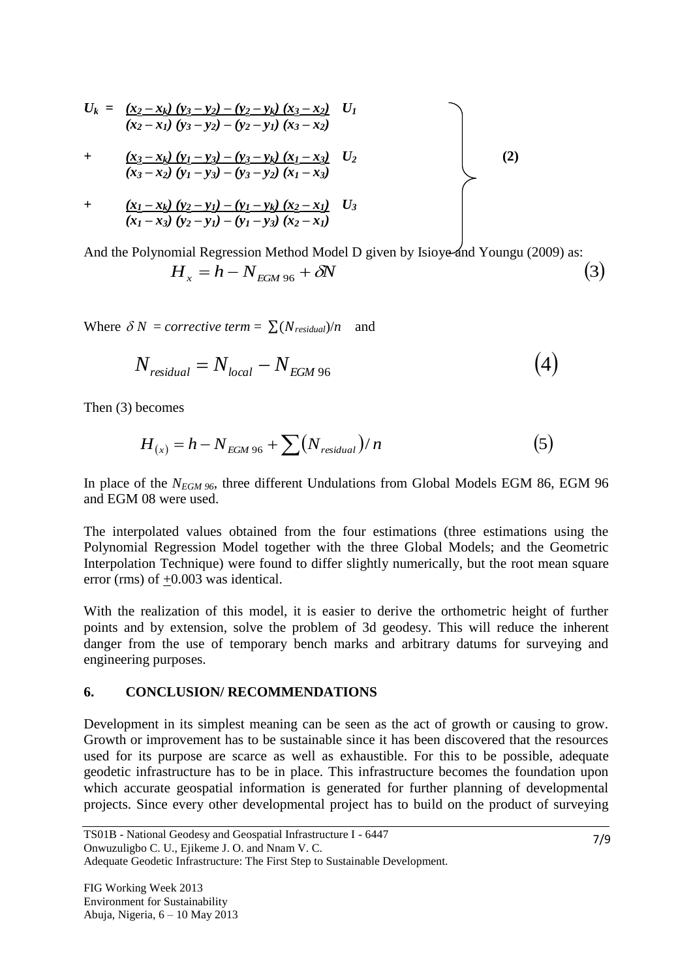$$
U_{k} = \frac{(x_{2} - x_{k})(y_{3} - y_{2}) - (y_{2} - y_{k})(x_{3} - x_{2})}{(x_{2} - x_{1})(y_{3} - y_{2}) - (y_{2} - y_{1})(x_{3} - x_{2})}
$$
  
+ 
$$
\frac{(x_{3} - x_{k})(y_{1} - y_{3}) - (y_{3} - y_{k})(x_{1} - x_{3})}{(x_{3} - x_{2})(y_{1} - y_{3}) - (y_{3} - y_{2})(x_{1} - x_{3})}
$$
  
+ 
$$
\frac{(x_{1} - x_{k})(y_{2} - y_{1}) - (y_{1} - y_{k})(x_{2} - x_{1})}{(x_{1} - x_{3})(y_{2} - y_{1}) - (y_{1} - y_{3})(x_{2} - x_{1})}
$$
(2)

And the Polynomial Regression Method Model D given by Isioye and Youngu (2009) as:  $H_x = h - N_{EGM\,96} + \delta N$  (3)

Where  $\delta N =$  *corrective term* =  $\sum (N_{residual})/n$  and

$$
N_{residual} = N_{local} - N_{EGM\,96} \tag{4}
$$

Then (3) becomes

$$
H_{(x)} = h - N_{EGM\,96} + \sum (N_{residual})/n
$$
 (5)

In place of the *NEGM 96*, three different Undulations from Global Models EGM 86, EGM 96 and EGM 08 were used.

The interpolated values obtained from the four estimations (three estimations using the Polynomial Regression Model together with the three Global Models; and the Geometric Interpolation Technique) were found to differ slightly numerically, but the root mean square error (rms) of +0.003 was identical.

With the realization of this model, it is easier to derive the orthometric height of further points and by extension, solve the problem of 3d geodesy. This will reduce the inherent danger from the use of temporary bench marks and arbitrary datums for surveying and engineering purposes.

#### **6. CONCLUSION/ RECOMMENDATIONS**

Development in its simplest meaning can be seen as the act of growth or causing to grow. Growth or improvement has to be sustainable since it has been discovered that the resources used for its purpose are scarce as well as exhaustible. For this to be possible, adequate geodetic infrastructure has to be in place. This infrastructure becomes the foundation upon which accurate geospatial information is generated for further planning of developmental projects. Since every other developmental project has to build on the product of surveying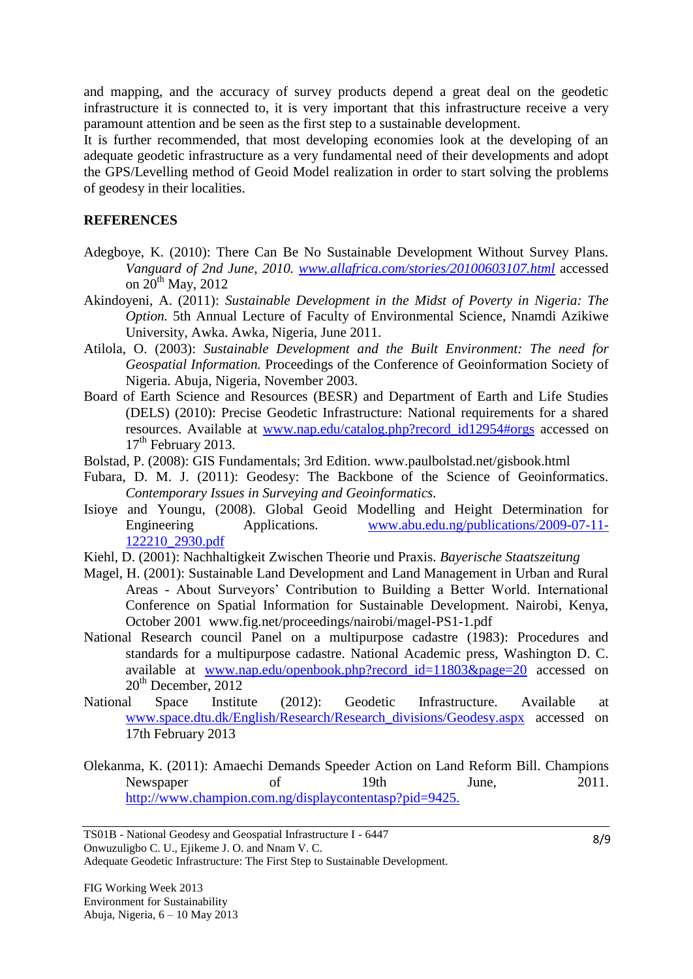and mapping, and the accuracy of survey products depend a great deal on the geodetic infrastructure it is connected to, it is very important that this infrastructure receive a very paramount attention and be seen as the first step to a sustainable development.

It is further recommended, that most developing economies look at the developing of an adequate geodetic infrastructure as a very fundamental need of their developments and adopt the GPS/Levelling method of Geoid Model realization in order to start solving the problems of geodesy in their localities.

### **REFERENCES**

- Adegboye, K. (2010): There Can Be No Sustainable Development Without Survey Plans. *Vanguard of 2nd June, 2010. [www.allafrica.com/stories/20100603107.html](http://www.allafrica.com/stories/20100603107.html)* accessed on  $20^{th}$  May,  $2012$
- Akindoyeni, A. (2011): *Sustainable Development in the Midst of Poverty in Nigeria: The Option.* 5th Annual Lecture of Faculty of Environmental Science, Nnamdi Azikiwe University, Awka. Awka, Nigeria, June 2011.
- Atilola, O. (2003): *Sustainable Development and the Built Environment: The need for Geospatial Information.* Proceedings of the Conference of Geoinformation Society of Nigeria. Abuja, Nigeria, November 2003.
- Board of Earth Science and Resources (BESR) and Department of Earth and Life Studies (DELS) (2010): Precise Geodetic Infrastructure: National requirements for a shared resources. Available at [www.nap.edu/catalog.php?record\\_id12954#orgs](http://www.nap.edu/catalog.php?record_id12954#orgs) accessed on  $17<sup>th</sup>$  February 2013.
- Bolstad, P. (2008): GIS Fundamentals; 3rd Edition. [www.paulbolstad.net/gisbook.html](http://www.paulbolstad.net/gisbook.html)
- Fubara, D. M. J. (2011): Geodesy: The Backbone of the Science of Geoinformatics. *Contemporary Issues in Surveying and Geoinformatics.*
- Isioye and Youngu, (2008). Global Geoid Modelling and Height Determination for Engineering Applications. [www.abu.edu.ng/publications/2009-07-11-](http://www.abu.edu.ng/publications/2009-07-11-122210_2930.pdf) [122210\\_2930.pdf](http://www.abu.edu.ng/publications/2009-07-11-122210_2930.pdf)
- Kiehl, D. (2001): Nachhaltigkeit Zwischen Theorie und Praxis. *Bayerische Staatszeitung*
- Magel, H. (2001): Sustainable Land Development and Land Management in Urban and Rural Areas - About Surveyors" Contribution to Building a Better World. International Conference on Spatial Information for Sustainable Development. Nairobi, Kenya, October 2001 [www.fig.net/proceedings/nairobi/magel-PS1-1.pdf](http://www.fig.net/proceedings/nairobi/magel-PS1-1.pdf)
- National Research council Panel on a multipurpose cadastre (1983): Procedures and standards for a multipurpose cadastre. National Academic press, Washington D. C. available at www.nap.edu/openbook.php?record id=11803&page=20 accessed on  $20<sup>th</sup>$  December,  $2012$
- National Space Institute (2012): Geodetic Infrastructure. Available at [www.space.dtu.dk/English/Research/Research\\_divisions/Geodesy.aspx](http://www.space.dtu.dk/English/Research/Research_divisions/Geodesy.aspx) accessed on 17th February 2013
- Olekanma, K. (2011): Amaechi Demands Speeder Action on Land Reform Bill. Champions Newspaper of 19th June, 2011. <http://www.champion.com.ng/displaycontentasp?pid=9425.>

Adequate Geodetic Infrastructure: The First Step to Sustainable Development.